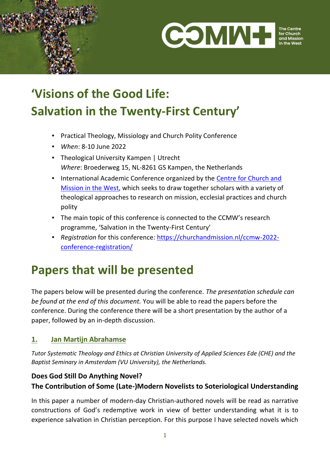



The Centr for Church and Mission

# **'Visions of the Good Life: Salvation in the Twenty-First Century'**

- Practical Theology, Missiology and Church Polity Conference
- *When*: 8-10 June 2022
- Theological University Kampen | Utrecht *Where*: Broederweg 15, NL-8261 GS Kampen, the Netherlands
- International Academic Conference organized by the [Centre for Church and](http://www.churchandmission.nl/)  [Mission in the West,](http://www.churchandmission.nl/) which seeks to draw together scholars with a variety of theological approaches to research on mission, ecclesial practices and church polity
- The main topic of this conference is connected to the CCMW's research programme, 'Salvation in the Twenty-First Century'
- *Registration* for this conference: [https://churchandmission.nl/ccmw-2022](https://churchandmission.nl/ccmw-2022-conference-registration/) [conference-registration/](https://churchandmission.nl/ccmw-2022-conference-registration/)

## **Papers that will be presented**

The papers below will be presented during the conference. *The presentation schedule can be found at the end of this document.* You will be able to read the papers before the conference. During the conference there will be a short presentation by the author of a paper, followed by an in-depth discussion.

## **1. Jan Martijn Abrahamse**

*Tutor Systematic Theology and Ethics at Christian University of Applied Sciences Ede (CHE) and the Baptist Seminary in Amsterdam (VU University), the Netherlands.*

## **Does God Still Do Anything Novel? The Contribution of Some (Late-)Modern Novelists to Soteriological Understanding**

In this paper a number of modern-day Christian-authored novels will be read as narrative constructions of God's redemptive work in view of better understanding what it is to experience salvation in Christian perception. For this purpose I have selected novels which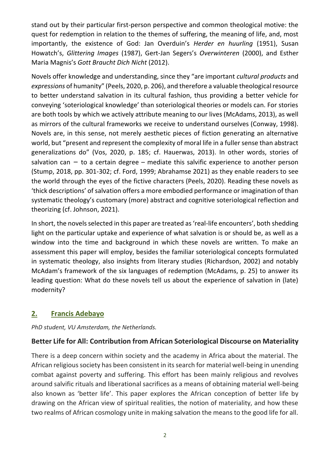stand out by their particular first-person perspective and common theological motive: the quest for redemption in relation to the themes of suffering, the meaning of life, and, most importantly, the existence of God: Jan Overduin's *Herder en huurling* (1951), Susan Howatch's, *Glittering Images* (1987), Gert-Jan Segers's *Overwinteren* (2000), and Esther Maria Magnis's *Gott Braucht Dich Nicht* (2012).

Novels offer knowledge and understanding, since they "are important *cultural products* and *expressions* of humanity" (Peels, 2020, p. 206), and therefore a valuable theological resource to better understand salvation in its cultural fashion, thus providing a better vehicle for conveying 'soteriological knowledge' than soteriological theories or models can. For stories are both tools by which we actively attribute meaning to our lives (McAdams, 2013), as well as mirrors of the cultural frameworks we receive to understand ourselves (Conway, 1998). Novels are, in this sense, not merely aesthetic pieces of fiction generating an alternative world, but "present and represent the complexity of moral life in a fuller sense than abstract generalizations do" (Vos, 2020, p. 185; cf. Hauerwas, 2013). In other words, stories of salvation can  $-$  to a certain degree  $-$  mediate this salvific experience to another person (Stump, 2018, pp. 301-302; cf. Ford, 1999; Abrahamse 2021) as they enable readers to see the world through the eyes of the fictive characters (Peels, 2020). Reading these novels as 'thick descriptions' of salvation offers a more embodied performance or imagination of than systematic theology's customary (more) abstract and cognitive soteriological reflection and theorizing (cf. Johnson, 2021).

In short, the novels selected in this paper are treated as 'real-life encounters', both shedding light on the particular uptake and experience of what salvation is or should be, as well as a window into the time and background in which these novels are written. To make an assessment this paper will employ, besides the familiar soteriological concepts formulated in systematic theology, also insights from literary studies (Richardson, 2002) and notably McAdam's framework of the six languages of redemption (McAdams, p. 25) to answer its leading question: What do these novels tell us about the experience of salvation in (late) modernity?

## **2. Francis Adebayo**

*PhD student, VU Amsterdam, the Netherlands.*

## **Better Life for All: Contribution from African Soteriological Discourse on Materiality**

There is a deep concern within society and the academy in Africa about the material. The African religious society has been consistent in its search for material well-being in unending combat against poverty and suffering. This effort has been mainly religious and revolves around salvific rituals and liberational sacrifices as a means of obtaining material well-being also known as 'better life'. This paper explores the African conception of better life by drawing on the African view of spiritual realities, the notion of materiality, and how these two realms of African cosmology unite in making salvation the means to the good life for all.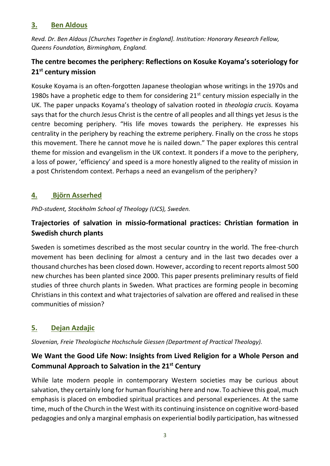#### **3. Ben Aldous**

*Revd. Dr. Ben Aldous [Churches Together in England]. Institution: Honorary Research Fellow, Queens Foundation, Birmingham, England.*

## **The centre becomes the periphery: Reflections on Kosuke Koyama's soteriology for 21st century mission**

Kosuke Koyama is an often-forgotten Japanese theologian whose writings in the 1970s and 1980s have a prophetic edge to them for considering  $21<sup>st</sup>$  century mission especially in the UK. The paper unpacks Koyama's theology of salvation rooted in *theologia crucis.* Koyama says that for the church Jesus Christ is the centre of all peoples and all things yet Jesus is the centre becoming periphery. "His life moves towards the periphery. He expresses his centrality in the periphery by reaching the extreme periphery. Finally on the cross he stops this movement. There he cannot move he is nailed down." The paper explores this central theme for mission and evangelism in the UK context. It ponders if a move to the periphery, a loss of power, 'efficiency' and speed is a more honestly aligned to the reality of mission in a post Christendom context. Perhaps a need an evangelism of the periphery?

## **4. Björn Asserhed**

*PhD-student, Stockholm School of Theology (UCS), Sweden.*

## **Trajectories of salvation in missio-formational practices: Christian formation in Swedish church plants**

Sweden is sometimes described as the most secular country in the world. The free-church movement has been declining for almost a century and in the last two decades over a thousand churches has been closed down. However, according to recent reports almost 500 new churches has been planted since 2000. This paper presents preliminary results of field studies of three church plants in Sweden. What practices are forming people in becoming Christians in this context and what trajectories of salvation are offered and realised in these communities of mission?

## **5. Dejan Azdajic**

*Slovenian, Freie Theologische Hochschule Giessen (Department of Practical Theology).*

## **We Want the Good Life Now: Insights from Lived Religion for a Whole Person and Communal Approach to Salvation in the 21st Century**

While late modern people in contemporary Western societies may be curious about salvation, they certainly long for human flourishing here and now. To achieve this goal, much emphasis is placed on embodied spiritual practices and personal experiences. At the same time, much of the Church in the West with its continuing insistence on cognitive word-based pedagogies and only a marginal emphasis on experiential bodily participation, has witnessed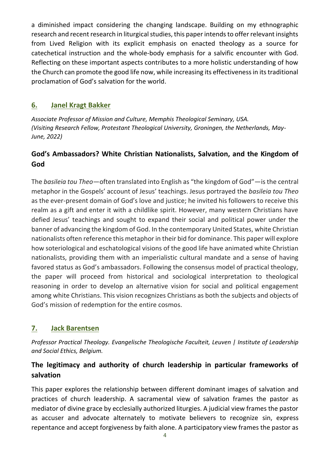a diminished impact considering the changing landscape. Building on my ethnographic research and recent research in liturgical studies, this paper intends to offer relevant insights from Lived Religion with its explicit emphasis on enacted theology as a source for catechetical instruction and the whole-body emphasis for a salvific encounter with God. Reflecting on these important aspects contributes to a more holistic understanding of how the Church can promote the good life now, while increasing its effectiveness in its traditional proclamation of God's salvation for the world.

#### **6. Janel Kragt Bakker**

*Associate Professor of Mission and Culture, Memphis Theological Seminary, USA. (Visiting Research Fellow, Protestant Theological University, Groningen, the Netherlands, May-June, 2022)* 

## **God's Ambassadors? White Christian Nationalists, Salvation, and the Kingdom of God**

The *basileia tou Theo*—often translated into English as "the kingdom of God"—is the central metaphor in the Gospels' account of Jesus' teachings. Jesus portrayed the *basileia tou Theo*  as the ever-present domain of God's love and justice; he invited his followers to receive this realm as a gift and enter it with a childlike spirit. However, many western Christians have defied Jesus' teachings and sought to expand their social and political power under the banner of advancing the kingdom of God. In the contemporary United States, white Christian nationalists often reference this metaphor in their bid for dominance. This paper will explore how soteriological and eschatological visions of the good life have animated white Christian nationalists, providing them with an imperialistic cultural mandate and a sense of having favored status as God's ambassadors. Following the consensus model of practical theology, the paper will proceed from historical and sociological interpretation to theological reasoning in order to develop an alternative vision for social and political engagement among white Christians. This vision recognizes Christians as both the subjects and objects of God's mission of redemption for the entire cosmos.

## **7. Jack Barentsen**

*Professor Practical Theology. Evangelische Theologische Faculteit, Leuven | Institute of Leadership and Social Ethics, Belgium.*

## **The legitimacy and authority of church leadership in particular frameworks of salvation**

This paper explores the relationship between different dominant images of salvation and practices of church leadership. A sacramental view of salvation frames the pastor as mediator of divine grace by ecclesially authorized liturgies. A judicial view frames the pastor as accuser and advocate alternately to motivate believers to recognize sin, express repentance and accept forgiveness by faith alone. A participatory view frames the pastor as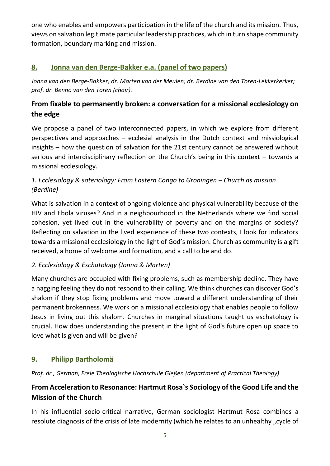one who enables and empowers participation in the life of the church and its mission. Thus, views on salvation legitimate particular leadership practices, which in turn shape community formation, boundary marking and mission.

## **8. Jonna van den Berge-Bakker e.a. (panel of two papers)**

*Jonna van den Berge-Bakker; dr. Marten van der Meulen; dr. Berdine van den Toren-Lekkerkerker; prof. dr. Benno van den Toren (chair).*

## **From fixable to permanently broken: a conversation for a missional ecclesiology on the edge**

We propose a panel of two interconnected papers, in which we explore from different perspectives and approaches – ecclesial analysis in the Dutch context and missiological insights – how the question of salvation for the 21st century cannot be answered without serious and interdisciplinary reflection on the Church's being in this context – towards a missional ecclesiology.

## 1. Ecclesiology & soteriology: From Eastern Congo to Groningen – Church as mission *(Berdine)*

What is salvation in a context of ongoing violence and physical vulnerability because of the HIV and Ebola viruses? And in a neighbourhood in the Netherlands where we find social cohesion, yet lived out in the vulnerability of poverty and on the margins of society? Reflecting on salvation in the lived experience of these two contexts, I look for indicators towards a missional ecclesiology in the light of God's mission. Church as community is a gift received, a home of welcome and formation, and a call to be and do.

#### *2. Ecclesiology & Eschatology (Jonna & Marten)*

Many churches are occupied with fixing problems, such as membership decline. They have a nagging feeling they do not respond to their calling. We think churches can discover God's shalom if they stop fixing problems and move toward a different understanding of their permanent brokenness. We work on a missional ecclesiology that enables people to follow Jesus in living out this shalom. Churches in marginal situations taught us eschatology is crucial. How does understanding the present in the light of God's future open up space to love what is given and will be given?

## **9. Philipp Bartholomä**

*Prof. dr., German, Freie Theologische Hochschule Gießen (department of Practical Theology).*

## **From Acceleration to Resonance: Hartmut Rosa`s Sociology of the Good Life and the Mission of the Church**

In his influential socio-critical narrative, German sociologist Hartmut Rosa combines a resolute diagnosis of the crisis of late modernity (which he relates to an unhealthy "cycle of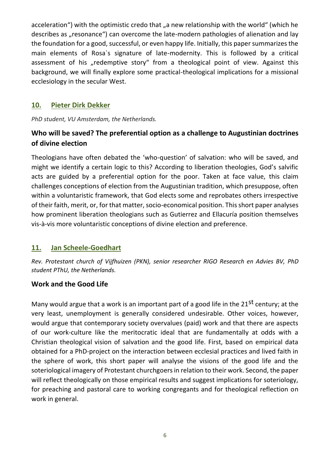acceleration") with the optimistic credo that "a new relationship with the world" (which he describes as "resonance") can overcome the late-modern pathologies of alienation and lay the foundation for a good, successful, or even happy life. Initially, this paper summarizes the main elements of Rosa`s signature of late-modernity. This is followed by a critical assessment of his "redemptive story" from a theological point of view. Against this background, we will finally explore some practical-theological implications for a missional ecclesiology in the secular West.

#### **10. Pieter Dirk Dekker**

*PhD student, VU Amsterdam, the Netherlands.*

## **Who will be saved? The preferential option as a challenge to Augustinian doctrines of divine election**

Theologians have often debated the 'who-question' of salvation: who will be saved, and might we identify a certain logic to this? According to liberation theologies, God's salvific acts are guided by a preferential option for the poor. Taken at face value, this claim challenges conceptions of election from the Augustinian tradition, which presuppose, often within a voluntaristic framework, that God elects some and reprobates others irrespective of their faith, merit, or, for that matter, socio-economical position. This short paper analyses how prominent liberation theologians such as Gutierrez and Ellacuría position themselves vis-à-vis more voluntaristic conceptions of divine election and preference.

## **11. Jan Scheele-Goedhart**

*Rev. Protestant church of Vijfhuizen (PKN), senior researcher RIGO Research en Advies BV, PhD student PThU, the Netherlands.* 

#### **Work and the Good Life**

Many would argue that a work is an important part of a good life in the 21<sup>st</sup> century; at the very least, unemployment is generally considered undesirable. Other voices, however, would argue that contemporary society overvalues (paid) work and that there are aspects of our work-culture like the meritocratic ideal that are fundamentally at odds with a Christian theological vision of salvation and the good life. First, based on empirical data obtained for a PhD-project on the interaction between ecclesial practices and lived faith in the sphere of work, this short paper will analyse the visions of the good life and the soteriological imagery of Protestant churchgoers in relation to their work. Second, the paper will reflect theologically on those empirical results and suggest implications for soteriology, for preaching and pastoral care to working congregants and for theological reflection on work in general.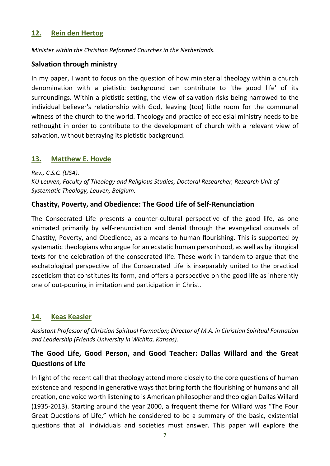#### **12. Rein den Hertog**

*Minister within the Christian Reformed Churches in the Netherlands.*

#### **Salvation through ministry**

In my paper, I want to focus on the question of how ministerial theology within a church denomination with a pietistic background can contribute to 'the good life' of its surroundings. Within a pietistic setting, the view of salvation risks being narrowed to the individual believer's relationship with God, leaving (too) little room for the communal witness of the church to the world. Theology and practice of ecclesial ministry needs to be rethought in order to contribute to the development of church with a relevant view of salvation, without betraying its pietistic background.

#### **13. Matthew E. Hovde**

*Rev., C.S.C. (USA). KU Leuven, Faculty of Theology and Religious Studies, Doctoral Researcher, Research Unit of Systematic Theology, Leuven, Belgium.*

#### **Chastity, Poverty, and Obedience: The Good Life of Self-Renunciation**

The Consecrated Life presents a counter-cultural perspective of the good life, as one animated primarily by self-renunciation and denial through the evangelical counsels of Chastity, Poverty, and Obedience, as a means to human flourishing. This is supported by systematic theologians who argue for an ecstatic human personhood, as well as by liturgical texts for the celebration of the consecrated life. These work in tandem to argue that the eschatological perspective of the Consecrated Life is inseparably united to the practical asceticism that constitutes its form, and offers a perspective on the good life as inherently one of out-pouring in imitation and participation in Christ.

#### **14. Keas Keasler**

*Assistant Professor of Christian Spiritual Formation; Director of M.A. in Christian Spiritual Formation and Leadership (Friends University in Wichita, Kansas).*

## **The Good Life, Good Person, and Good Teacher: Dallas Willard and the Great Questions of Life**

In light of the recent call that theology attend more closely to the core questions of human existence and respond in generative ways that bring forth the flourishing of humans and all creation, one voice worth listening to is American philosopher and theologian Dallas Willard (1935-2013). Starting around the year 2000, a frequent theme for Willard was "The Four Great Questions of Life," which he considered to be a summary of the basic, existential questions that all individuals and societies must answer. This paper will explore the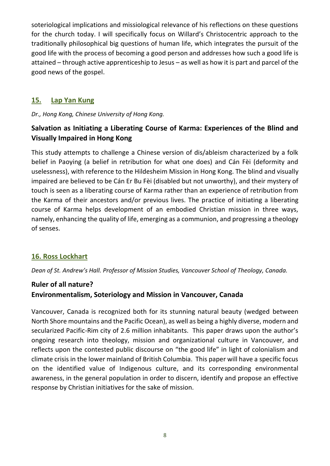soteriological implications and missiological relevance of his reflections on these questions for the church today. I will specifically focus on Willard's Christocentric approach to the traditionally philosophical big questions of human life, which integrates the pursuit of the good life with the process of becoming a good person and addresses how such a good life is attained – through active apprenticeship to Jesus – as well as how it is part and parcel of the good news of the gospel.

## **15. Lap Yan Kung**

*Dr., Hong Kong, Chinese University of Hong Kong.*

## **Salvation as Initiating a Liberating Course of Karma: Experiences of the Blind and Visually Impaired in Hong Kong**

This study attempts to challenge a Chinese version of dis/ableism characterized by a folk belief in Paoying (a belief in retribution for what one does) and Cán Fèi (deformity and uselessness), with reference to the Hildesheim Mission in Hong Kong. The blind and visually impaired are believed to be Cán Er Bu Fèi (disabled but not unworthy), and their mystery of touch is seen as a liberating course of Karma rather than an experience of retribution from the Karma of their ancestors and/or previous lives. The practice of initiating a liberating course of Karma helps development of an embodied Christian mission in three ways, namely, enhancing the quality of life, emerging as a communion, and progressing a theology of senses.

## **16. Ross Lockhart**

*Dean of St. Andrew's Hall. Professor of Mission Studies, Vancouver School of Theology, Canada.*

## **Ruler of all nature? Environmentalism, Soteriology and Mission in Vancouver, Canada**

Vancouver, Canada is recognized both for its stunning natural beauty (wedged between North Shore mountains and the Pacific Ocean), as well as being a highly diverse, modern and secularized Pacific-Rim city of 2.6 million inhabitants. This paper draws upon the author's ongoing research into theology, mission and organizational culture in Vancouver, and reflects upon the contested public discourse on "the good life" in light of colonialism and climate crisis in the lower mainland of British Columbia. This paper will have a specific focus on the identified value of Indigenous culture, and its corresponding environmental awareness, in the general population in order to discern, identify and propose an effective response by Christian initiatives for the sake of mission.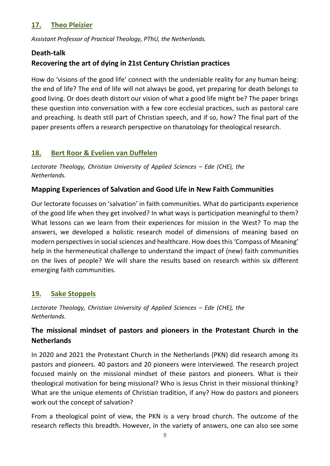## **17. Theo Pleizier**

*Assistant Professor of Practical Theology, PThU, the Netherlands.*

#### **Death-talk**

## **Recovering the art of dying in 21st Century Christian practices**

How do 'visions of the good life' connect with the undeniable reality for any human being: the end of life? The end of life will not always be good, yet preparing for death belongs to good living. Or does death distort our vision of what a good life might be? The paper brings these question into conversation with a few core ecclesial practices, such as pastoral care and preaching. Is death still part of Christian speech, and if so, how? The final part of the paper presents offers a research perspective on thanatology for theological research.

## **18. Bert Roor & Evelien van Duffelen**

*Lectorate Theology, Christian University of Applied Sciences – Ede (CHE), the Netherlands.*

#### **Mapping Experiences of Salvation and Good Life in New Faith Communities**

Our lectorate focusses on 'salvation' in faith communities. What do participants experience of the good life when they get involved? In what ways is participation meaningful to them? What lessons can we learn from their experiences for mission in the West? To map the answers, we developed a holistic research model of dimensions of meaning based on modern perspectives in social sciences and healthcare. How does this 'Compass of Meaning' help in the hermeneutical challenge to understand the impact of (new) faith communities on the lives of people? We will share the results based on research within six different emerging faith communities.

## **19. Sake Stoppels**

*Lectorate Theology, Christian University of Applied Sciences - Ede (CHE), the Netherlands.*

## **The missional mindset of pastors and pioneers in the Protestant Church in the Netherlands**

In 2020 and 2021 the Protestant Church in the Netherlands (PKN) did research among its pastors and pioneers. 40 pastors and 20 pioneers were interviewed. The research project focused mainly on the missional mindset of these pastors and pioneers. What is their theological motivation for being missional? Who is Jesus Christ in their missional thinking? What are the unique elements of Christian tradition, if any? How do pastors and pioneers work out the concept of salvation?

From a theological point of view, the PKN is a very broad church. The outcome of the research reflects this breadth. However, in the variety of answers, one can also see some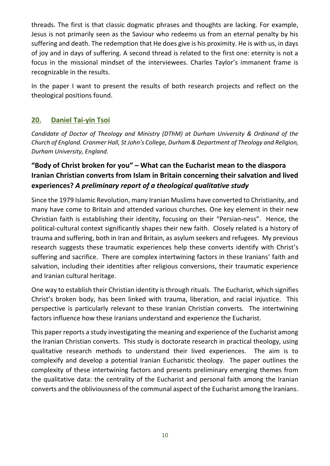threads. The first is that classic dogmatic phrases and thoughts are lacking. For example, Jesus is not primarily seen as the Saviour who redeems us from an eternal penalty by his suffering and death. The redemption that He does give is his proximity. He is with us, in days of joy and in days of suffering. A second thread is related to the first one: eternity is not a focus in the missional mindset of the interviewees. Charles Taylor's immanent frame is recognizable in the results.

In the paper I want to present the results of both research projects and reflect on the theological positions found.

## **20. Daniel Tai-yin Tsoi**

*Candidate of Doctor of Theology and Ministry (DThM) at Durham University & Ordinand of the Church of England. Cranmer Hall, St John's College, Durham & Department of Theology and Religion, Durham University, England.*

## **"Body of Christ broken for you" – What can the Eucharist mean to the diaspora Iranian Christian converts from Islam in Britain concerning their salvation and lived experiences?** *A preliminary report of a theological qualitative study*

Since the 1979 Islamic Revolution, many Iranian Muslims have converted to Christianity, and many have come to Britain and attended various churches. One key element in their new Christian faith is establishing their identity, focusing on their "Persian-ness". Hence, the political-cultural context significantly shapes their new faith. Closely related is a history of trauma and suffering, both in Iran and Britain, as asylum seekers and refugees. My previous research suggests these traumatic experiences help these converts identify with Christ's suffering and sacrifice. There are complex intertwining factors in these Iranians' faith and salvation, including their identities after religious conversions, their traumatic experience and Iranian cultural heritage.

One way to establish their Christian identity is through rituals. The Eucharist, which signifies Christ's broken body, has been linked with trauma, liberation, and racial injustice. This perspective is particularly relevant to these Iranian Christian converts. The intertwining factors influence how these Iranians understand and experience the Eucharist.

This paper reports a study investigating the meaning and experience of the Eucharist among the Iranian Christian converts. This study is doctorate research in practical theology, using qualitative research methods to understand their lived experiences. The aim is to complexify and develop a potential Iranian Eucharistic theology. The paper outlines the complexity of these intertwining factors and presents preliminary emerging themes from the qualitative data: the centrality of the Eucharist and personal faith among the Iranian converts and the obliviousness of the communal aspect of the Eucharist among the Iranians.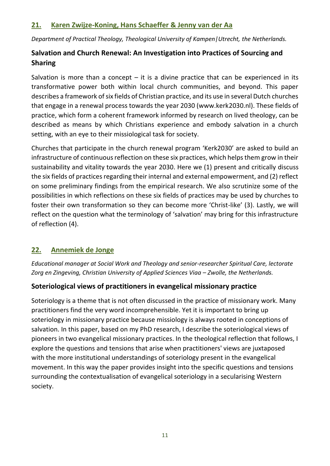#### **21. Karen Zwijze-Koning, Hans Schaeffer & Jenny van der Aa**

*Department of Practical Theology, Theological University of Kampen|Utrecht, the Netherlands.*

## **Salvation and Church Renewal: An Investigation into Practices of Sourcing and Sharing**

Salvation is more than a concept  $-$  it is a divine practice that can be experienced in its transformative power both within local church communities, and beyond. This paper describes a framework of six fields of Christian practice, and its use in several Dutch churches that engage in a renewal process towards the year 2030 (www.kerk2030.nl). These fields of practice, which form a coherent framework informed by research on lived theology, can be described as means by which Christians experience and embody salvation in a church setting, with an eye to their missiological task for society.

Churches that participate in the church renewal program 'Kerk2030' are asked to build an infrastructure of continuous reflection on these six practices, which helps them grow in their sustainability and vitality towards the year 2030. Here we (1) present and critically discuss the six fields of practices regarding their internal and external empowerment, and (2) reflect on some preliminary findings from the empirical research. We also scrutinize some of the possibilities in which reflections on these six fields of practices may be used by churches to foster their own transformation so they can become more 'Christ-like' (3). Lastly, we will reflect on the question what the terminology of 'salvation' may bring for this infrastructure of reflection (4).

## **22. Annemiek de Jonge**

*Educational manager at Social Work and Theology and senior-researcher Spiritual Care, lectorate Zorg en Zingeving, Christian University of Applied Sciences Viaa – Zwolle, the Netherlands.*

## **Soteriological views of practitioners in evangelical missionary practice**

Soteriology is a theme that is not often discussed in the practice of missionary work. Many practitioners find the very word incomprehensible. Yet it is important to bring up soteriology in missionary practice because missiology is always rooted in conceptions of salvation. In this paper, based on my PhD research, I describe the soteriological views of pioneers in two evangelical missionary practices. In the theological reflection that follows, I explore the questions and tensions that arise when practitioners' views are juxtaposed with the more institutional understandings of soteriology present in the evangelical movement. In this way the paper provides insight into the specific questions and tensions surrounding the contextualisation of evangelical soteriology in a secularising Western society.